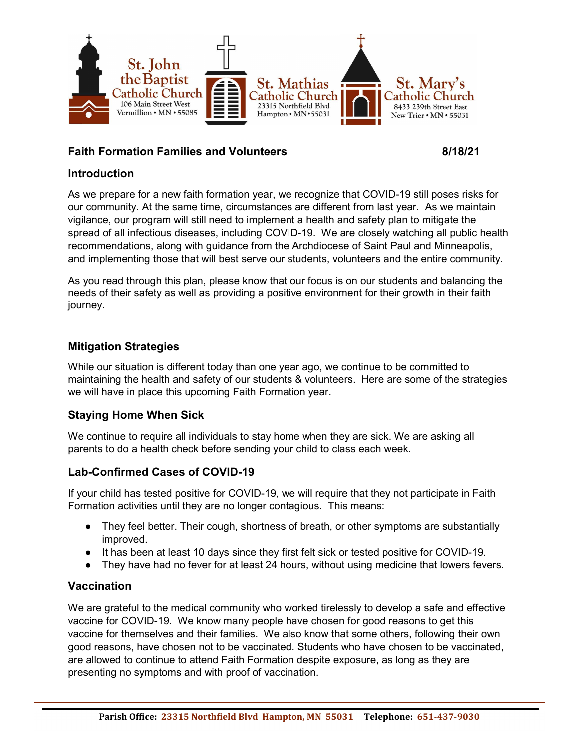

### Faith Formation Families and Volunteers **8/18/21**

#### Introduction

As we prepare for a new faith formation year, we recognize that COVID-19 still poses risks for our community. At the same time, circumstances are different from last year. As we maintain vigilance, our program will still need to implement a health and safety plan to mitigate the spread of all infectious diseases, including COVID-19. We are closely watching all public health recommendations, along with guidance from the Archdiocese of Saint Paul and Minneapolis, and implementing those that will best serve our students, volunteers and the entire community.

As you read through this plan, please know that our focus is on our students and balancing the needs of their safety as well as providing a positive environment for their growth in their faith journey.

#### Mitigation Strategies

While our situation is different today than one year ago, we continue to be committed to maintaining the health and safety of our students & volunteers. Here are some of the strategies we will have in place this upcoming Faith Formation year.

#### Staying Home When Sick

We continue to require all individuals to stay home when they are sick. We are asking all parents to do a health check before sending your child to class each week.

#### Lab-Confirmed Cases of COVID-19

If your child has tested positive for COVID-19, we will require that they not participate in Faith Formation activities until they are no longer contagious. This means:

- They feel better. Their cough, shortness of breath, or other symptoms are substantially improved.
- It has been at least 10 days since they first felt sick or tested positive for COVID-19.
- They have had no fever for at least 24 hours, without using medicine that lowers fevers.

#### **Vaccination**

We are grateful to the medical community who worked tirelessly to develop a safe and effective vaccine for COVID-19. We know many people have chosen for good reasons to get this vaccine for themselves and their families. We also know that some others, following their own good reasons, have chosen not to be vaccinated. Students who have chosen to be vaccinated, are allowed to continue to attend Faith Formation despite exposure, as long as they are presenting no symptoms and with proof of vaccination.